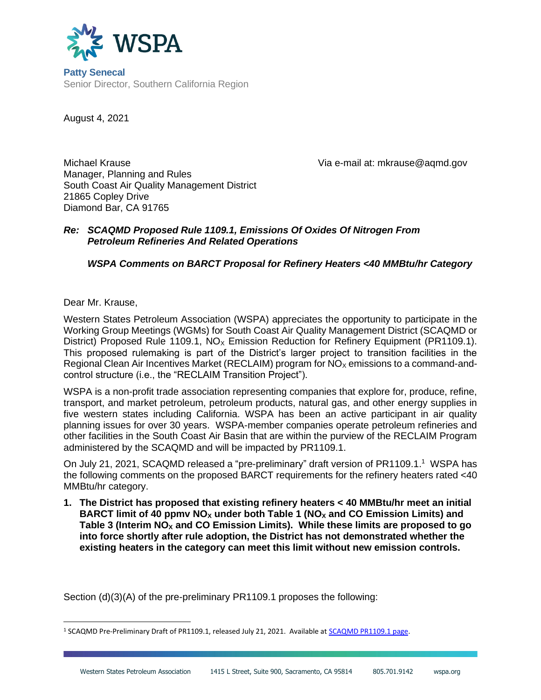

**Patty Senecal** Senior Director, Southern California Region

August 4, 2021

Michael Krause Via e-mail at: mkrause@aqmd.gov Manager, Planning and Rules South Coast Air Quality Management District 21865 Copley Drive Diamond Bar, CA 91765

#### *Re: SCAQMD Proposed Rule 1109.1, Emissions Of Oxides Of Nitrogen From Petroleum Refineries And Related Operations*

## *WSPA Comments on BARCT Proposal for Refinery Heaters <40 MMBtu/hr Category*

Dear Mr. Krause,

Western States Petroleum Association (WSPA) appreciates the opportunity to participate in the Working Group Meetings (WGMs) for South Coast Air Quality Management District (SCAQMD or District) Proposed Rule 1109.1,  $NO<sub>x</sub>$  Emission Reduction for Refinery Equipment (PR1109.1). This proposed rulemaking is part of the District's larger project to transition facilities in the Regional Clean Air Incentives Market (RECLAIM) program for  $NO<sub>x</sub>$  emissions to a command-andcontrol structure (i.e., the "RECLAIM Transition Project").

WSPA is a non-profit trade association representing companies that explore for, produce, refine, transport, and market petroleum, petroleum products, natural gas, and other energy supplies in five western states including California. WSPA has been an active participant in air quality planning issues for over 30 years. WSPA-member companies operate petroleum refineries and other facilities in the South Coast Air Basin that are within the purview of the RECLAIM Program administered by the SCAQMD and will be impacted by PR1109.1.

On July 21, 2021, SCAQMD released a "pre-preliminary" draft version of PR1109.1.<sup>1</sup> WSPA has the following comments on the proposed BARCT requirements for the refinery heaters rated <40 MMBtu/hr category.

**1. The District has proposed that existing refinery heaters < 40 MMBtu/hr meet an initial BARCT limit of 40 ppmv NO<sup>X</sup> under both Table 1 (NO<sup>X</sup> and CO Emission Limits) and Table 3 (Interim NO<sup>X</sup> and CO Emission Limits). While these limits are proposed to go into force shortly after rule adoption, the District has not demonstrated whether the existing heaters in the category can meet this limit without new emission controls.** 

Section (d)(3)(A) of the pre-preliminary PR1109.1 proposes the following:

<sup>&</sup>lt;sup>1</sup> SCAQMD Pre-Preliminary Draft of PR1109.1, released July 21, 2021. Available a[t SCAQMD PR1109.1 page.](http://www.aqmd.gov/home/rules-compliance/rules/scaqmd-rule-book/proposed-rules/rule-1109-1)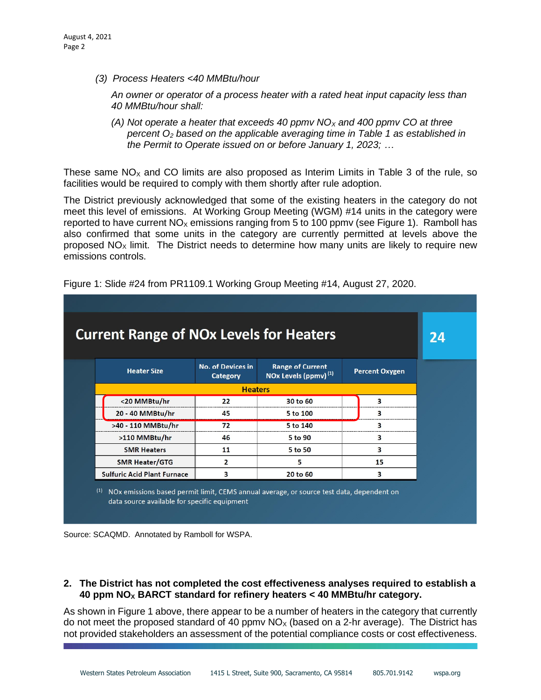*(3) Process Heaters <40 MMBtu/hour*

*An owner or operator of a process heater with a rated heat input capacity less than 40 MMBtu/hour shall:*

*(A) Not operate a heater that exceeds 40 ppmv NO<sup>X</sup> and 400 ppmv CO at three percent O<sup>2</sup> based on the applicable averaging time in Table 1 as established in the Permit to Operate issued on or before January 1, 2023; …* 

These same  $NO<sub>x</sub>$  and CO limits are also proposed as Interim Limits in Table 3 of the rule, so facilities would be required to comply with them shortly after rule adoption.

The District previously acknowledged that some of the existing heaters in the category do not meet this level of emissions. At Working Group Meeting (WGM) #14 units in the category were reported to have current  $NO<sub>x</sub>$  emissions ranging from 5 to 100 ppmv (see Figure 1). Ramboll has also confirmed that some units in the category are currently permitted at levels above the proposed  $NO<sub>x</sub>$  limit. The District needs to determine how many units are likely to require new emissions controls.

| <b>Current Range of NOx Levels for Heaters</b> |                                                                                                                                                      |                                      |                                                             |                         |  |  |  |  |  |
|------------------------------------------------|------------------------------------------------------------------------------------------------------------------------------------------------------|--------------------------------------|-------------------------------------------------------------|-------------------------|--|--|--|--|--|
|                                                | <b>Heater Size</b>                                                                                                                                   | <b>No. of Devices in</b><br>Category | <b>Range of Current</b><br>NOx Levels (ppmv) <sup>(1)</sup> | <b>Percent Oxygen</b>   |  |  |  |  |  |
|                                                | <b>Heaters</b>                                                                                                                                       |                                      |                                                             |                         |  |  |  |  |  |
|                                                | <20 MMBtu/hr                                                                                                                                         | 22                                   | 30 to 60                                                    | 3                       |  |  |  |  |  |
|                                                | 20 - 40 MMBtu/hr                                                                                                                                     | 45                                   | 5 to 100                                                    | $\overline{\mathbf{3}}$ |  |  |  |  |  |
|                                                | >40 - 110 MMBtu/hr                                                                                                                                   | 72                                   | 5 to 140                                                    | $\overline{\mathbf{3}}$ |  |  |  |  |  |
|                                                | >110 MMBtu/hr                                                                                                                                        | 46                                   | 5 to 90                                                     | 3                       |  |  |  |  |  |
|                                                | <b>SMR Heaters</b>                                                                                                                                   | 11                                   | 5 to 50                                                     | $\overline{3}$          |  |  |  |  |  |
|                                                | <b>SMR Heater/GTG</b>                                                                                                                                | $\overline{2}$                       | 5                                                           | 15                      |  |  |  |  |  |
|                                                | <b>Sulfuric Acid Plant Furnace</b>                                                                                                                   | 3                                    | 20 to 60                                                    | 3                       |  |  |  |  |  |
| (1)                                            | NO <sub>x</sub> emissions based permit limit, CEMS annual average, or source test data, dependent on<br>data source available for specific equipment |                                      |                                                             |                         |  |  |  |  |  |

Figure 1: Slide #24 from PR1109.1 Working Group Meeting #14, August 27, 2020.



### **2. The District has not completed the cost effectiveness analyses required to establish a 40 ppm NO<sup>X</sup> BARCT standard for refinery heaters < 40 MMBtu/hr category.**

As shown in Figure 1 above, there appear to be a number of heaters in the category that currently do not meet the proposed standard of 40 ppmv  $NO<sub>x</sub>$  (based on a 2-hr average). The District has not provided stakeholders an assessment of the potential compliance costs or cost effectiveness.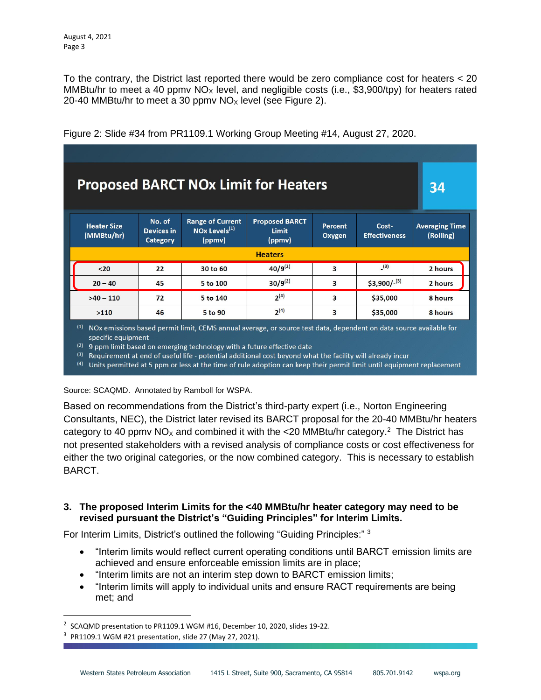To the contrary, the District last reported there would be zero compliance cost for heaters < 20 MMBtu/hr to meet a 40 ppmv  $NO_x$  level, and negligible costs (i.e., \$3,900/tpy) for heaters rated 20-40 MMBtu/hr to meet a 30 ppmv  $NO<sub>x</sub>$  level (see Figure 2).

| <b>Proposed BARCT NOx Limit for Heaters</b>                                                                               |                                         |                                                                |                                                 |                          |                               |                                    |  |  |  |  |  |
|---------------------------------------------------------------------------------------------------------------------------|-----------------------------------------|----------------------------------------------------------------|-------------------------------------------------|--------------------------|-------------------------------|------------------------------------|--|--|--|--|--|
| <b>Heater Size</b><br>(MMBtu/hr)                                                                                          | No. of<br><b>Devices in</b><br>Category | <b>Range of Current</b><br>NOx Levels <sup>(1)</sup><br>(ppmv) | <b>Proposed BARCT</b><br><b>Limit</b><br>(ppmv) | <b>Percent</b><br>Oxygen | Cost-<br><b>Effectiveness</b> | <b>Averaging Time</b><br>(Rolling) |  |  |  |  |  |
| <b>Heaters</b>                                                                                                            |                                         |                                                                |                                                 |                          |                               |                                    |  |  |  |  |  |
| $20$                                                                                                                      | 22                                      | 30 to 60                                                       | $40/9^{(2)}$                                    | $\overline{\mathbf{3}}$  | (3)                           | 2 hours                            |  |  |  |  |  |
| $20 - 40$                                                                                                                 | 45                                      | 5 to 100                                                       | $30/9^{(2)}$                                    | 3                        | $$3,900/-(3)$                 | 2 hours                            |  |  |  |  |  |
| $>40 - 110$                                                                                                               | 72                                      | 5 to 140                                                       | $2^{(4)}$                                       | 3                        | \$35,000                      | 8 hours                            |  |  |  |  |  |
| >110                                                                                                                      | 46                                      | 5 to 90                                                        | $2^{(4)}$                                       | 3                        | \$35,000                      | 8 hours                            |  |  |  |  |  |
| (1)<br>NOx emissions based permit limit, CEMS annual average, or source test data, dependent on data source available for |                                         |                                                                |                                                 |                          |                               |                                    |  |  |  |  |  |

Figure 2: Slide #34 from PR1109.1 Working Group Meeting #14, August 27, 2020.

specific equipment

 $(2)$  9 ppm limit based on emerging technology with a future effective date

(3) Requirement at end of useful life - potential additional cost beyond what the facility will already incur

<sup>(4)</sup> Units permitted at 5 ppm or less at the time of rule adoption can keep their permit limit until equipment replacement

Source: SCAQMD. Annotated by Ramboll for WSPA.

Based on recommendations from the District's third-party expert (i.e., Norton Engineering Consultants, NEC), the District later revised its BARCT proposal for the 20-40 MMBtu/hr heaters category to 40 ppmv NO<sub>x</sub> and combined it with the <20 MMBtu/hr category.<sup>2</sup> The District has not presented stakeholders with a revised analysis of compliance costs or cost effectiveness for either the two original categories, or the now combined category. This is necessary to establish BARCT.

### **3. The proposed Interim Limits for the <40 MMBtu/hr heater category may need to be revised pursuant the District's "Guiding Principles" for Interim Limits.**

For Interim Limits, District's outlined the following "Guiding Principles:"<sup>3</sup>

- "Interim limits would reflect current operating conditions until BARCT emission limits are achieved and ensure enforceable emission limits are in place;
- "Interim limits are not an interim step down to BARCT emission limits;
- "Interim limits will apply to individual units and ensure RACT requirements are being met; and

<sup>&</sup>lt;sup>2</sup> SCAQMD presentation to PR1109.1 WGM #16, December 10, 2020, slides 19-22.

 $3$  PR1109.1 WGM #21 presentation, slide 27 (May 27, 2021).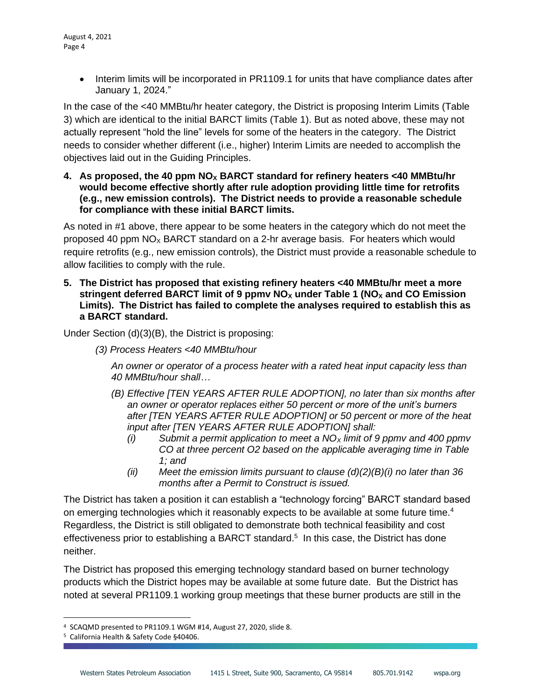• Interim limits will be incorporated in PR1109.1 for units that have compliance dates after January 1, 2024."

In the case of the <40 MMBtu/hr heater category, the District is proposing Interim Limits (Table 3) which are identical to the initial BARCT limits (Table 1). But as noted above, these may not actually represent "hold the line" levels for some of the heaters in the category. The District needs to consider whether different (i.e., higher) Interim Limits are needed to accomplish the objectives laid out in the Guiding Principles.

**4. As proposed, the 40 ppm NO<sup>X</sup> BARCT standard for refinery heaters <40 MMBtu/hr would become effective shortly after rule adoption providing little time for retrofits (e.g., new emission controls). The District needs to provide a reasonable schedule for compliance with these initial BARCT limits.** 

As noted in #1 above, there appear to be some heaters in the category which do not meet the proposed 40 ppm  $NO<sub>X</sub>$  BARCT standard on a 2-hr average basis. For heaters which would require retrofits (e.g., new emission controls), the District must provide a reasonable schedule to allow facilities to comply with the rule.

**5. The District has proposed that existing refinery heaters <40 MMBtu/hr meet a more stringent deferred BARCT limit of 9 ppmv NO<sup>X</sup> under Table 1 (NO<sup>X</sup> and CO Emission Limits). The District has failed to complete the analyses required to establish this as a BARCT standard.** 

Under Section (d)(3)(B), the District is proposing:

*(3) Process Heaters <40 MMBtu/hour*

*An owner or operator of a process heater with a rated heat input capacity less than 40 MMBtu/hour shall…*

- *(B) Effective [TEN YEARS AFTER RULE ADOPTION], no later than six months after an owner or operator replaces either 50 percent or more of the unit's burners after [TEN YEARS AFTER RULE ADOPTION] or 50 percent or more of the heat input after [TEN YEARS AFTER RULE ADOPTION] shall:*
	- *(i) Submit a permit application to meet a NO<sup>X</sup> limit of 9 ppmv and 400 ppmv CO at three percent O2 based on the applicable averaging time in Table 1; and*
	- *(ii) Meet the emission limits pursuant to clause (d)(2)(B)(i) no later than 36 months after a Permit to Construct is issued.*

The District has taken a position it can establish a "technology forcing" BARCT standard based on emerging technologies which it reasonably expects to be available at some future time.<sup>4</sup> Regardless, the District is still obligated to demonstrate both technical feasibility and cost effectiveness prior to establishing a BARCT standard.<sup>5</sup> In this case, the District has done neither.

The District has proposed this emerging technology standard based on burner technology products which the District hopes may be available at some future date. But the District has noted at several PR1109.1 working group meetings that these burner products are still in the

<sup>4</sup> SCAQMD presented to PR1109.1 WGM #14, August 27, 2020, slide 8.

<sup>5</sup> California Health & Safety Code §40406.